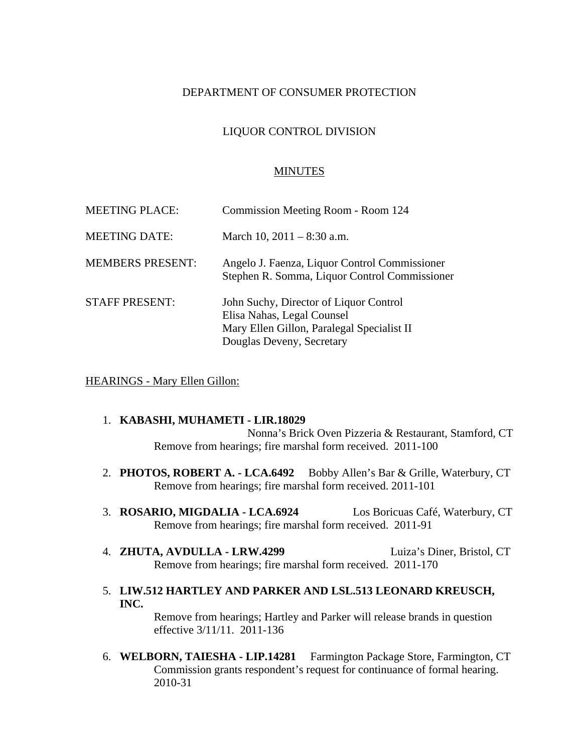## DEPARTMENT OF CONSUMER PROTECTION

## LIQUOR CONTROL DIVISION

#### MINUTES

| <b>MEETING PLACE:</b>   | Commission Meeting Room - Room 124                                                                                                              |
|-------------------------|-------------------------------------------------------------------------------------------------------------------------------------------------|
| <b>MEETING DATE:</b>    | March 10, $2011 - 8:30$ a.m.                                                                                                                    |
| <b>MEMBERS PRESENT:</b> | Angelo J. Faenza, Liquor Control Commissioner<br>Stephen R. Somma, Liquor Control Commissioner                                                  |
| <b>STAFF PRESENT:</b>   | John Suchy, Director of Liquor Control<br>Elisa Nahas, Legal Counsel<br>Mary Ellen Gillon, Paralegal Specialist II<br>Douglas Deveny, Secretary |

HEARINGS - Mary Ellen Gillon:

# 1. **KABASHI, MUHAMETI - LIR.18029**

Nonna's Brick Oven Pizzeria & Restaurant, Stamford, CT Remove from hearings; fire marshal form received. 2011-100

- 2. **PHOTOS, ROBERT A. LCA.6492** Bobby Allen's Bar & Grille, Waterbury, CT Remove from hearings; fire marshal form received. 2011-101
- 3. **ROSARIO, MIGDALIA LCA.6924** Los Boricuas Café, Waterbury, CT Remove from hearings; fire marshal form received. 2011-91
- 4. **ZHUTA, AVDULLA LRW.4299** Luiza's Diner, Bristol, CT Remove from hearings; fire marshal form received. 2011-170
- 5. **LIW.512 HARTLEY AND PARKER AND LSL.513 LEONARD KREUSCH, INC.**

Remove from hearings; Hartley and Parker will release brands in question effective 3/11/11. 2011-136

6. **WELBORN, TAIESHA - LIP.14281** Farmington Package Store, Farmington, CT Commission grants respondent's request for continuance of formal hearing. 2010-31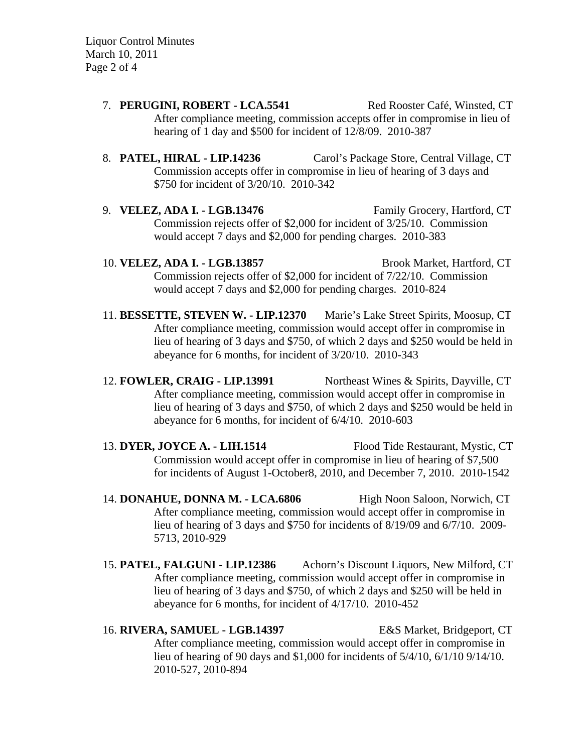Liquor Control Minutes March 10, 2011 Page 2 of 4

- 7. **PERUGINI, ROBERT LCA.5541** Red Rooster Café, Winsted, CT After compliance meeting, commission accepts offer in compromise in lieu of hearing of 1 day and \$500 for incident of 12/8/09. 2010-387
- 8. **PATEL, HIRAL LIP.14236** Carol's Package Store, Central Village, CT Commission accepts offer in compromise in lieu of hearing of 3 days and \$750 for incident of 3/20/10. 2010-342
- 9. **VELEZ, ADA I. LGB.13476** Family Grocery, Hartford, CT Commission rejects offer of \$2,000 for incident of 3/25/10. Commission would accept 7 days and \$2,000 for pending charges. 2010-383
- 10. **VELEZ, ADA I. LGB.13857** Brook Market, Hartford, CT Commission rejects offer of \$2,000 for incident of 7/22/10. Commission would accept 7 days and \$2,000 for pending charges. 2010-824
- 11. **BESSETTE, STEVEN W. LIP.12370** Marie's Lake Street Spirits, Moosup, CT After compliance meeting, commission would accept offer in compromise in lieu of hearing of 3 days and \$750, of which 2 days and \$250 would be held in abeyance for 6 months, for incident of 3/20/10. 2010-343
- 12. **FOWLER, CRAIG LIP.13991** Northeast Wines & Spirits, Dayville, CT After compliance meeting, commission would accept offer in compromise in lieu of hearing of 3 days and \$750, of which 2 days and \$250 would be held in abeyance for 6 months, for incident of 6/4/10. 2010-603
- 13. **DYER, JOYCE A. LIH.1514** Flood Tide Restaurant, Mystic, CT Commission would accept offer in compromise in lieu of hearing of \$7,500 for incidents of August 1-October8, 2010, and December 7, 2010. 2010-1542
- 14. **DONAHUE, DONNA M. LCA.6806** High Noon Saloon, Norwich, CT After compliance meeting, commission would accept offer in compromise in lieu of hearing of 3 days and \$750 for incidents of 8/19/09 and 6/7/10. 2009- 5713, 2010-929
- 15. **PATEL, FALGUNI LIP.12386** Achorn's Discount Liquors, New Milford, CT After compliance meeting, commission would accept offer in compromise in lieu of hearing of 3 days and \$750, of which 2 days and \$250 will be held in abeyance for 6 months, for incident of 4/17/10. 2010-452

16. **RIVERA, SAMUEL - LGB.14397** E&S Market, Bridgeport, CT After compliance meeting, commission would accept offer in compromise in lieu of hearing of 90 days and \$1,000 for incidents of 5/4/10, 6/1/10 9/14/10. 2010-527, 2010-894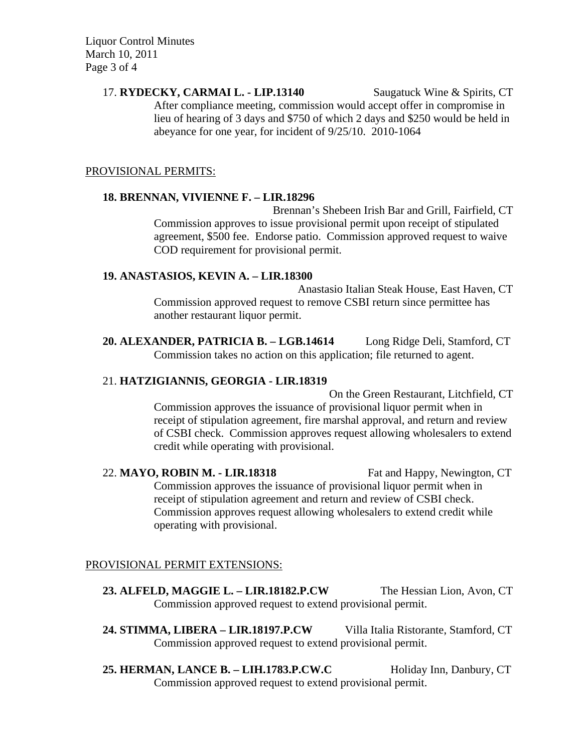Liquor Control Minutes March 10, 2011 Page 3 of 4

> 17. **RYDECKY, CARMAI L. - LIP.13140** Saugatuck Wine & Spirits, CT After compliance meeting, commission would accept offer in compromise in lieu of hearing of 3 days and \$750 of which 2 days and \$250 would be held in abeyance for one year, for incident of 9/25/10. 2010-1064

## PROVISIONAL PERMITS:

## **18. BRENNAN, VIVIENNE F. – LIR.18296**

Brennan's Shebeen Irish Bar and Grill, Fairfield, CT Commission approves to issue provisional permit upon receipt of stipulated agreement, \$500 fee. Endorse patio. Commission approved request to waive COD requirement for provisional permit.

## **19. ANASTASIOS, KEVIN A. – LIR.18300**

Anastasio Italian Steak House, East Haven, CT Commission approved request to remove CSBI return since permittee has another restaurant liquor permit.

**20. ALEXANDER, PATRICIA B. – LGB.14614** Long Ridge Deli, Stamford, CT Commission takes no action on this application; file returned to agent.

# 21. **HATZIGIANNIS, GEORGIA - LIR.18319**

On the Green Restaurant, Litchfield, CT Commission approves the issuance of provisional liquor permit when in receipt of stipulation agreement, fire marshal approval, and return and review of CSBI check. Commission approves request allowing wholesalers to extend credit while operating with provisional.

22. **MAYO, ROBIN M. - LIR.18318** Fat and Happy, Newington, CT Commission approves the issuance of provisional liquor permit when in receipt of stipulation agreement and return and review of CSBI check. Commission approves request allowing wholesalers to extend credit while operating with provisional.

# PROVISIONAL PERMIT EXTENSIONS:

- **23. ALFELD, MAGGIE L. LIR.18182.P.CW** The Hessian Lion, Avon, CT Commission approved request to extend provisional permit.
- **24. STIMMA, LIBERA LIR.18197.P.CW** Villa Italia Ristorante, Stamford, CT Commission approved request to extend provisional permit.
- 25. **HERMAN, LANCE B. LIH.1783.P.CW.C** Holiday Inn, Danbury, CT Commission approved request to extend provisional permit.